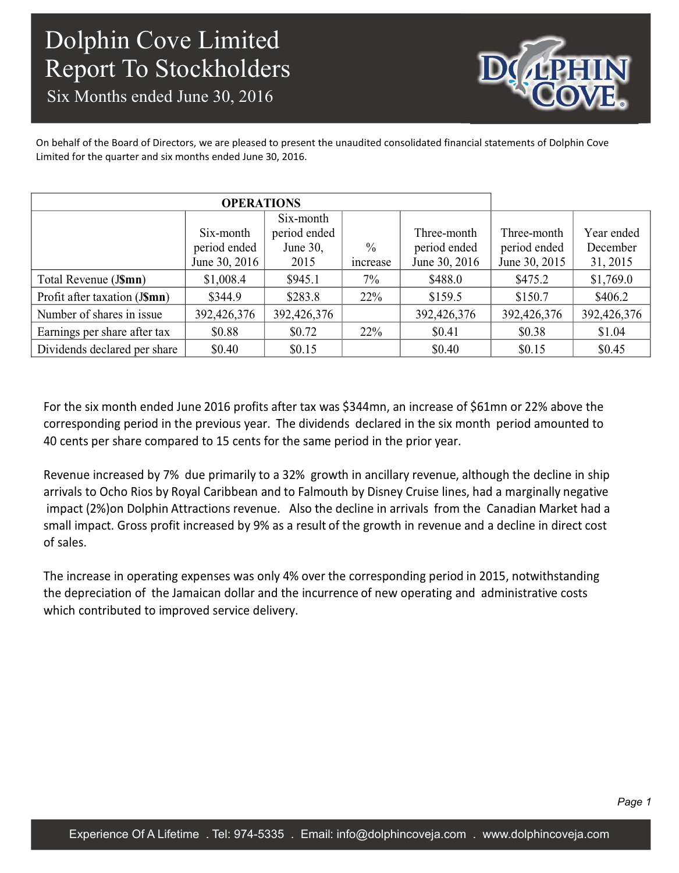Six Months ended June 30, 2016

On behalf of the Board of Directors, we are pleased to present the unaudited consolidated financial statements of Dolphin Cove Limited for the quarter and six months ended June 30, 2016.

| <b>OPERATIONS</b>             |               |              |               |               |               |             |
|-------------------------------|---------------|--------------|---------------|---------------|---------------|-------------|
|                               |               | Six-month    |               |               |               |             |
|                               | Six-month     | period ended |               | Three-month   | Three-month   | Year ended  |
|                               | period ended  | June 30,     | $\frac{0}{0}$ | period ended  | period ended  | December    |
|                               | June 30, 2016 | 2015         | increase      | June 30, 2016 | June 30, 2015 | 31, 2015    |
| Total Revenue (J\$mn)         | \$1,008.4     | \$945.1      | 7%            | \$488.0       | \$475.2       | \$1,769.0   |
| Profit after taxation (J\$mn) | \$344.9       | \$283.8      | 22%           | \$159.5       | \$150.7       | \$406.2     |
| Number of shares in issue     | 392,426,376   | 392,426,376  |               | 392,426,376   | 392,426,376   | 392,426,376 |
| Earnings per share after tax  | \$0.88        | \$0.72       | 22%           | \$0.41        | \$0.38        | \$1.04      |
| Dividends declared per share  | \$0.40        | \$0.15       |               | \$0.40        | \$0.15        | \$0.45      |

For the six month ended June 2016 profits after tax was \$344mn, an increase of \$61mn or 22% above the corresponding period in the previous year. The dividends declared in the six month period amounted to 40 cents per share compared to 15 cents for the same period in the prior year.

Revenue increased by 7% due primarily to a 32% growth in ancillary revenue, although the decline in ship arrivals to Ocho Rios by Royal Caribbean and to Falmouth by Disney Cruise lines, had a marginally negative impact (2%)on Dolphin Attractions revenue. Also the decline in arrivals from the Canadian Market had a small impact. Gross profit increased by 9% as a result of the growth in revenue and a decline in direct cost of sales.

The increase in operating expenses was only 4% over the corresponding period in 2015, notwithstanding the depreciation of the Jamaican dollar and the incurrence of new operating and administrative costs which contributed to improved service delivery.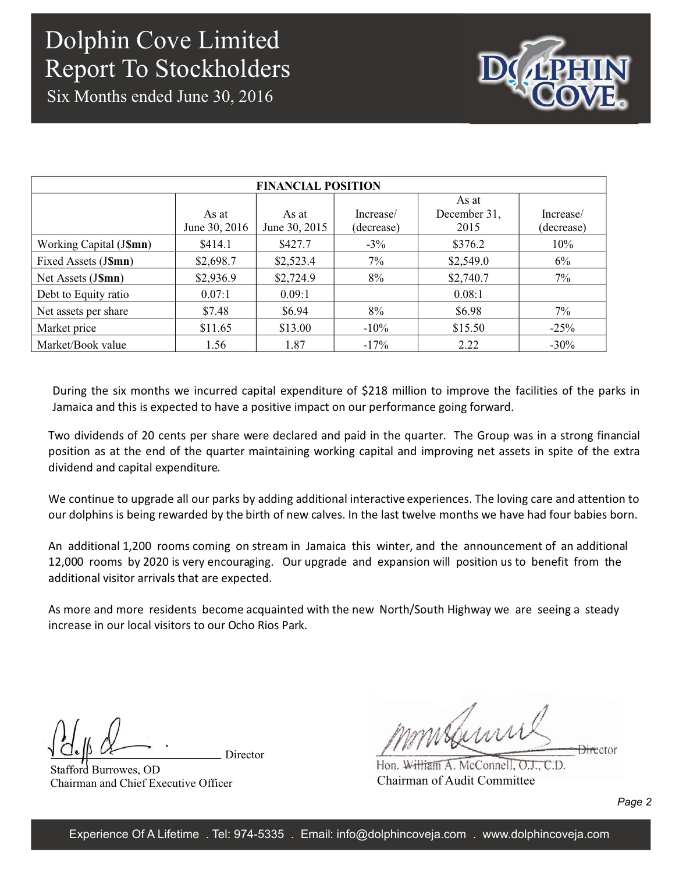Six Months ended June 30, 2016

| <b>FINANCIAL POSITION</b> |                        |                        |                         |                               |                         |  |
|---------------------------|------------------------|------------------------|-------------------------|-------------------------------|-------------------------|--|
|                           | As at<br>June 30, 2016 | As at<br>June 30, 2015 | Increase/<br>(decrease) | As at<br>December 31,<br>2015 | Increase/<br>(decrease) |  |
| Working Capital (J\$mn)   | \$414.1                | \$427.7                | $-3\%$                  | \$376.2                       | 10%                     |  |
| Fixed Assets (J\$mn)      | \$2,698.7              | \$2,523.4              | 7%                      | \$2,549.0                     | 6%                      |  |
| Net Assets (J\$mn)        | \$2,936.9              | \$2,724.9              | $8\%$                   | \$2,740.7                     | 7%                      |  |
| Debt to Equity ratio      | 0.07:1                 | 0.09:1                 |                         | 0.08:1                        |                         |  |
| Net assets per share      | \$7.48                 | \$6.94                 | 8%                      | \$6.98                        | 7%                      |  |
| Market price              | \$11.65                | \$13.00                | $-10\%$                 | \$15.50                       | $-25%$                  |  |
| Market/Book value         | 1.56                   | 1.87                   | $-17\%$                 | 2.22                          | $-30\%$                 |  |

During the six months we incurred capital expenditure of \$218 million to improve the facilities of the parks in Jamaica and this is expected to have a positive impact on our performance going forward.

Two dividends of 20 cents per share were declared and paid in the quarter. The Group was in a strong financial position as at the end of the quarter maintaining working capital and improving net assets in spite of the extra dividend and capital expenditure.

We continue to upgrade all our parks by adding additional interactive experiences. The loving care and attention to our dolphins is being rewarded by the birth of new calves. In the last twelve months we have had four babies born.

An additional 1,200 rooms coming on stream in Jamaica this winter, and the announcement of an additional 12,000 rooms by 2020 is very encouraging. Our upgrade and expansion will position us to benefit from the additional visitor arrivals that are expected.

As more and more residents become acquainted with the new North/South Highway we are seeing a steady increase in our local visitors to our Ocho Rios Park.

Director

Stafford Burrowes, OD Chairman and Chief Executive Officer

missauri **Director** 

Hon. William A. McConnell, O.J., C.D. Chairman of Audit Committee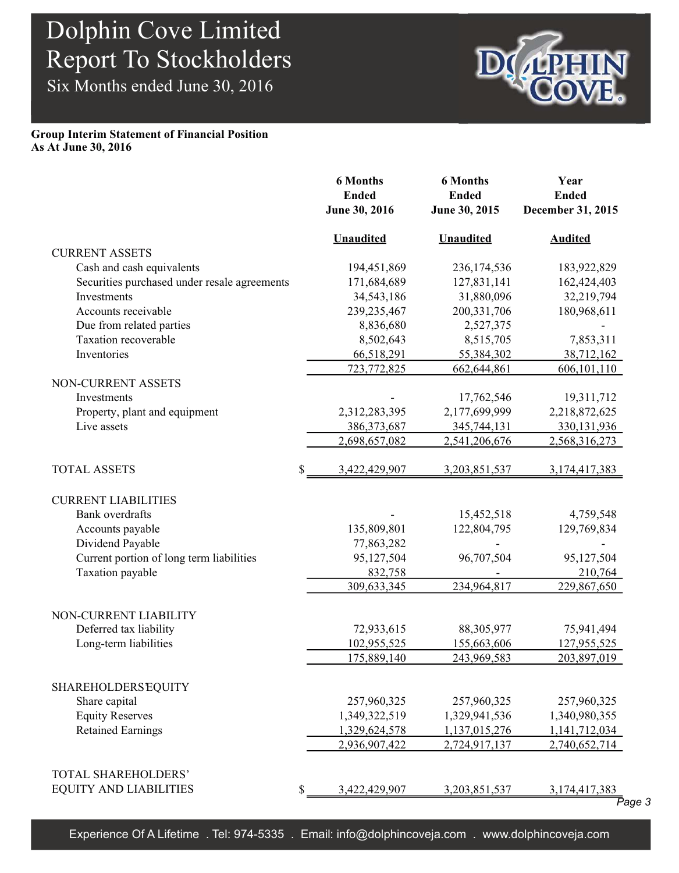AP<sub>1</sub>

### Six Months ended June 30, 2016

#### **Group Interim Statement of Financial Position As At June 30, 2016**

|                                              | <b>6 Months</b>     | <b>6 Months</b>  | Year                 |
|----------------------------------------------|---------------------|------------------|----------------------|
|                                              | <b>Ended</b>        | <b>Ended</b>     | <b>Ended</b>         |
|                                              | June 30, 2016       | June 30, 2015    | December 31, 2015    |
|                                              | <b>Unaudited</b>    | <b>Unaudited</b> | <b>Audited</b>       |
| <b>CURRENT ASSETS</b>                        |                     |                  |                      |
| Cash and cash equivalents                    | 194,451,869         | 236,174,536      | 183,922,829          |
| Securities purchased under resale agreements | 171,684,689         | 127,831,141      | 162,424,403          |
| Investments                                  | 34, 543, 186        | 31,880,096       | 32,219,794           |
| Accounts receivable                          | 239, 235, 467       | 200, 331, 706    | 180,968,611          |
| Due from related parties                     | 8,836,680           | 2,527,375        |                      |
| Taxation recoverable                         | 8,502,643           | 8,515,705        | 7,853,311            |
| Inventories                                  | 66,518,291          | 55,384,302       | 38,712,162           |
|                                              | 723,772,825         | 662,644,861      | 606,101,110          |
| NON-CURRENT ASSETS                           |                     |                  |                      |
| Investments                                  |                     | 17,762,546       | 19,311,712           |
| Property, plant and equipment                | 2,312,283,395       | 2,177,699,999    | 2,218,872,625        |
| Live assets                                  | 386, 373, 687       | 345,744,131      | 330, 131, 936        |
|                                              | 2,698,657,082       | 2,541,206,676    | 2,568,316,273        |
| <b>TOTAL ASSETS</b>                          | 3,422,429,907<br>\$ | 3,203,851,537    | 3, 174, 417, 383     |
| <b>CURRENT LIABILITIES</b>                   |                     |                  |                      |
| Bank overdrafts                              |                     | 15,452,518       | 4,759,548            |
| Accounts payable                             | 135,809,801         | 122,804,795      | 129,769,834          |
| Dividend Payable                             | 77,863,282          |                  |                      |
| Current portion of long term liabilities     | 95,127,504          | 96,707,504       | 95,127,504           |
| Taxation payable                             | 832,758             |                  | 210,764              |
|                                              | 309,633,345         | 234,964,817      | 229,867,650          |
|                                              |                     |                  |                      |
| NON-CURRENT LIABILITY                        |                     |                  |                      |
| Deferred tax liability                       | 72,933,615          | 88,305,977       | 75,941,494           |
| Long-term liabilities                        | 102,955,525         | 155,663,606      | 127,955,525          |
|                                              | 175,889,140         | 243,969,583      | 203,897,019          |
|                                              |                     |                  |                      |
| <b>SHAREHOLDERS EQUITY</b><br>Share capital  |                     |                  | 257,960,325          |
|                                              | 257,960,325         | 257,960,325      |                      |
| <b>Equity Reserves</b>                       | 1,349,322,519       | 1,329,941,536    | 1,340,980,355        |
| <b>Retained Earnings</b>                     | 1,329,624,578       | 1,137,015,276    | 1,141,712,034        |
|                                              | 2,936,907,422       | 2,724,917,137    | 2,740,652,714        |
| TOTAL SHAREHOLDERS'                          |                     |                  |                      |
| <b>EQUITY AND LIABILITIES</b>                | \$<br>3,422,429,907 | 3,203,851,537    | 3, 174, 417, 383     |
|                                              |                     |                  | $\overline{P}$ age 3 |

Experience Of A Lifetime . Tel: 974-5335 . Email: info@dolphincoveja.com . www.dolphincoveja.com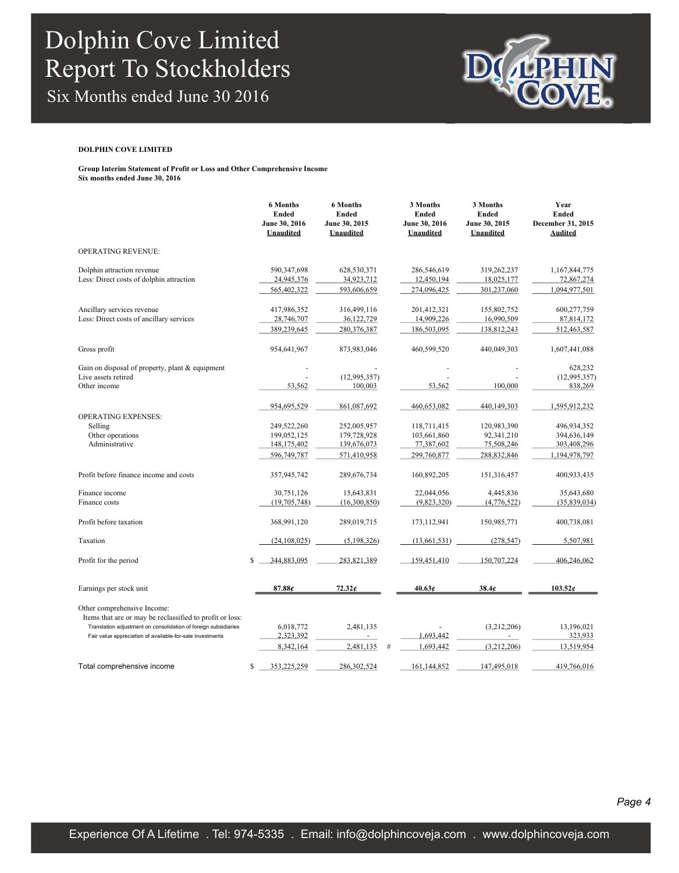Six Months ended June 30 2016



#### **DOLPHIN COVE LIMITED**

**Group Interim Statement of Profit or Loss and Other Comprehensive Income Six months ended June 30, 2016**

|                                                                                                                              | 6 Months<br>Ended<br>June 30, 2016<br><b>Unaudited</b> | <b>6 Months</b><br><b>Ended</b><br>June 30, 2015<br>Unaudited | 3 Months<br><b>Ended</b><br>June 30, 2016<br>Unaudited | 3 Months<br>Ended<br>June 30, 2015<br><b>Unaudited</b> | Year<br><b>Ended</b><br>December 31, 2015<br><b>Audited</b> |
|------------------------------------------------------------------------------------------------------------------------------|--------------------------------------------------------|---------------------------------------------------------------|--------------------------------------------------------|--------------------------------------------------------|-------------------------------------------------------------|
| <b>OPERATING REVENUE:</b>                                                                                                    |                                                        |                                                               |                                                        |                                                        |                                                             |
| Dolphin attraction revenue<br>Less: Direct costs of dolphin attraction                                                       | 590,347,698<br>24,945,376                              | 628,530,371<br>34,923,712                                     | 286,546,619<br>12,450,194                              | 319,262,237<br>18,025,177                              | 1,167,844,775<br>72,867,274                                 |
|                                                                                                                              | 565,402,322                                            | 593,606,659                                                   | 274,096,425                                            | 301,237,060                                            | 1,094,977,501                                               |
| Ancillary services revenue<br>Less: Direct costs of ancillary services                                                       | 417,986,352<br>28,746,707<br>389,239,645               | 316,499,116<br>36,122,729<br>280,376,387                      | 201,412,321<br>14,909,226<br>186,503,095               | 155,802,752<br>16,990,509<br>138,812,243               | 600,277,759<br>87,814,172<br>512,463,587                    |
| Gross profit                                                                                                                 | 954,641,967                                            | 873,983,046                                                   | 460,599,520                                            | 440,049,303                                            | 1,607,441,088                                               |
| Gain on disposal of property, plant & equipment<br>Live assets retired<br>Other income                                       | 53,562                                                 | (12,995,357)<br>100,003                                       | 53,562                                                 | 100,000                                                | 628,232<br>(12, 995, 357)<br>838,269                        |
| <b>OPERATING EXPENSES:</b>                                                                                                   | 954,695,529                                            | 861,087,692                                                   | 460,653,082                                            | 440,149,303                                            | 1,595,912,232                                               |
| Selling<br>Other operations<br>Administrative                                                                                | 249,522,260<br>199,052,125<br>148, 175, 402            | 252,005,957<br>179,728,928<br>139,676,073                     | 118,711,415<br>103,661,860<br>77,387,602               | 120,983,390<br>92,341,210<br>75,508,246                | 496,934,352<br>394,636,149<br>303,408,296                   |
|                                                                                                                              | 596,749,787                                            | 571,410,958                                                   | 299,760,877                                            | 288,832,846                                            | 1,194,978,797                                               |
| Profit before finance income and costs                                                                                       | 357,945,742                                            | 289,676,734                                                   | 160,892,205                                            | 151,316,457                                            | 400,933,435                                                 |
| Finance income<br>Finance costs                                                                                              | 30,751,126<br>(19,705,748)                             | 15,643,831<br>(16,300,850)                                    | 22,044,056<br>(9,823,320)                              | 4,445,836<br>(4,776,522)                               | 35,643,680<br>(35,839,034)                                  |
| Profit before taxation                                                                                                       | 368,991,120                                            | 289,019,715                                                   | 173, 112, 941                                          | 150,985,771                                            | 400,738,081                                                 |
| Taxation                                                                                                                     | (24, 108, 025)                                         | (5,198,326)                                                   | (13,661,531)                                           | (278, 547)                                             | 5,507,981                                                   |
| Profit for the period                                                                                                        | \$<br>344,883,095                                      | 283.821.389                                                   | 159.451.410                                            | 150.707.224                                            | 406.246.062                                                 |
| Earnings per stock unit                                                                                                      | 87.88¢                                                 | 72.32c                                                        | 40.63¢                                                 | 38.4¢                                                  | 103.52¢                                                     |
| Other comprehensive Income:<br>Items that are or may be reclassified to profit or loss:                                      |                                                        |                                                               |                                                        |                                                        |                                                             |
| Translation adjustment on consolidation of foreign subsidiaries<br>Fair value appreciation of available-for-sale investments | 6,018,772<br>2.323.392                                 | 2,481,135                                                     | 1.693.442                                              | (3,212,206)                                            | 13,196,021<br>323,933                                       |
|                                                                                                                              | 8,342,164                                              | 2,481,135                                                     | 1,693,442<br>#                                         | (3,212,206)                                            | 13,519,954                                                  |
| Total comprehensive income                                                                                                   | 353,225,259<br>\$                                      | 286,302,524                                                   | 161,144,852                                            | 147,495,018                                            | 419,766,016                                                 |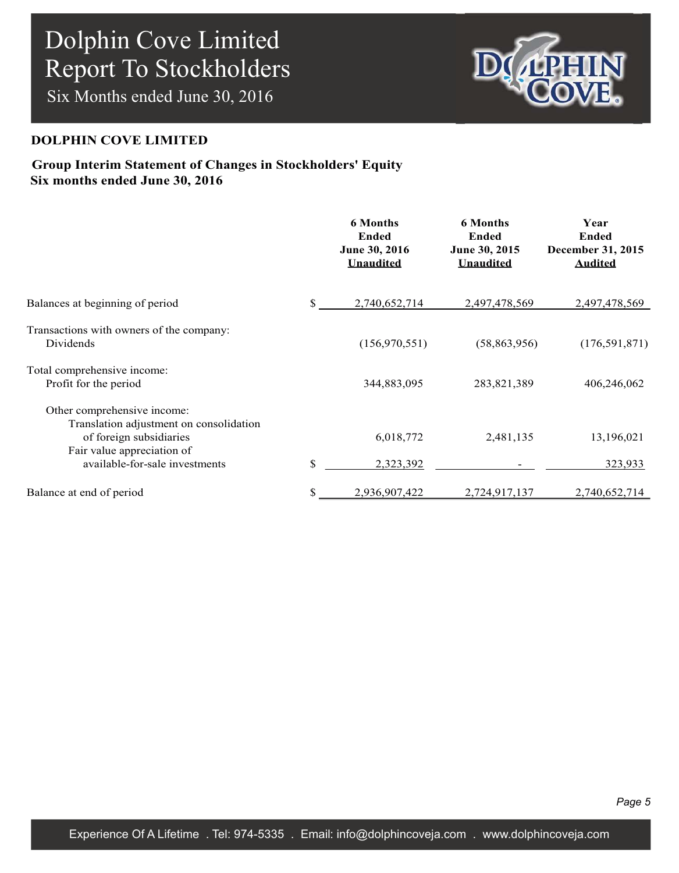Six Months ended June 30, 2016



#### **DOLPHIN COVE LIMITED**

### **Group Interim Statement of Changes in Stockholders' Equity Six months ended June 30, 2016**

|                                                                                                                                                                   | <b>6 Months</b><br><b>Ended</b><br>June 30, 2016<br><b>Unaudited</b> | <b>6 Months</b><br><b>Ended</b><br>June 30, 2015<br><b>Unaudited</b> | Year<br><b>Ended</b><br>December 31, 2015<br><b>Audited</b> |
|-------------------------------------------------------------------------------------------------------------------------------------------------------------------|----------------------------------------------------------------------|----------------------------------------------------------------------|-------------------------------------------------------------|
| Balances at beginning of period                                                                                                                                   | \$<br>2,740,652,714                                                  | 2,497,478,569                                                        | 2,497,478,569                                               |
| Transactions with owners of the company:<br>Dividends                                                                                                             | (156, 970, 551)                                                      | (58, 863, 956)                                                       | (176, 591, 871)                                             |
| Total comprehensive income:<br>Profit for the period                                                                                                              | 344,883,095                                                          | 283,821,389                                                          | 406,246,062                                                 |
| Other comprehensive income:<br>Translation adjustment on consolidation<br>of foreign subsidiaries<br>Fair value appreciation of<br>available-for-sale investments | \$<br>6,018,772<br>2,323,392                                         | 2,481,135                                                            | 13,196,021<br>323,933                                       |
| Balance at end of period                                                                                                                                          | \$<br>2,936,907,422                                                  | 2,724,917,137                                                        | 2,740,652,714                                               |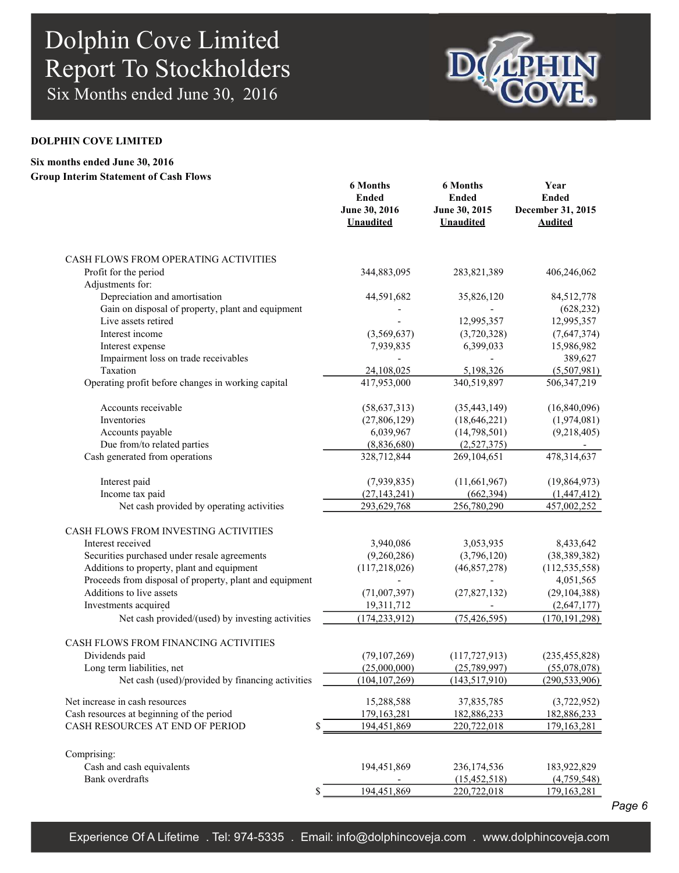Six Months ended June 30, 2016



#### **DOLPHIN COVE LIMITED**

#### **Six months ended June 30, 2016 Group Interim Statement of Cash Flows**

| ар тистип этаксийсиг от Сази гтому                      | <b>6 Months</b><br><b>Ended</b><br>June 30, 2016<br><b>Unaudited</b> | <b>6 Months</b><br><b>Ended</b><br>June 30, 2015<br><b>Unaudited</b> | Year<br><b>Ended</b><br>December 31, 2015<br><b>Audited</b> |
|---------------------------------------------------------|----------------------------------------------------------------------|----------------------------------------------------------------------|-------------------------------------------------------------|
| CASH FLOWS FROM OPERATING ACTIVITIES                    |                                                                      |                                                                      |                                                             |
| Profit for the period                                   | 344,883,095                                                          | 283,821,389                                                          | 406,246,062                                                 |
| Adjustments for:                                        |                                                                      |                                                                      |                                                             |
| Depreciation and amortisation                           | 44,591,682                                                           | 35,826,120                                                           | 84,512,778                                                  |
| Gain on disposal of property, plant and equipment       |                                                                      |                                                                      | (628, 232)                                                  |
| Live assets retired                                     |                                                                      | 12,995,357                                                           | 12,995,357                                                  |
| Interest income                                         | (3,569,637)                                                          | (3,720,328)                                                          | (7,647,374)                                                 |
| Interest expense                                        | 7,939,835                                                            | 6,399,033                                                            | 15,986,982                                                  |
| Impairment loss on trade receivables                    |                                                                      |                                                                      | 389,627                                                     |
| Taxation                                                | 24,108,025                                                           | 5,198,326                                                            | (5,507,981)                                                 |
| Operating profit before changes in working capital      | 417,953,000                                                          | 340,519,897                                                          | 506, 347, 219                                               |
| Accounts receivable                                     | (58, 637, 313)                                                       | (35, 443, 149)                                                       | (16,840,096)                                                |
| Inventories                                             | (27,806,129)                                                         | (18, 646, 221)                                                       | (1,974,081)                                                 |
| Accounts payable                                        | 6,039,967                                                            | (14,798,501)                                                         | (9,218,405)                                                 |
| Due from/to related parties                             | (8,836,680)                                                          | (2,527,375)                                                          |                                                             |
| Cash generated from operations                          | 328,712,844                                                          | 269,104,651                                                          | 478,314,637                                                 |
| Interest paid                                           | (7,939,835)                                                          | (11,661,967)                                                         | (19, 864, 973)                                              |
| Income tax paid                                         | (27, 143, 241)                                                       | (662, 394)                                                           | (1,447,412)                                                 |
| Net cash provided by operating activities               | 293,629,768                                                          | 256,780,290                                                          | 457,002,252                                                 |
| CASH FLOWS FROM INVESTING ACTIVITIES                    |                                                                      |                                                                      |                                                             |
| Interest received                                       | 3,940,086                                                            | 3,053,935                                                            | 8,433,642                                                   |
| Securities purchased under resale agreements            | (9,260,286)                                                          | (3,796,120)                                                          | (38, 389, 382)                                              |
| Additions to property, plant and equipment              | (117,218,026)                                                        | (46, 857, 278)                                                       | (112, 535, 558)                                             |
| Proceeds from disposal of property, plant and equipment |                                                                      |                                                                      | 4,051,565                                                   |
| Additions to live assets                                | (71,007,397)                                                         | (27, 827, 132)                                                       | (29, 104, 388)                                              |
| Investments acquired                                    | 19,311,712                                                           | $\overline{a}$                                                       | (2,647,177)                                                 |
| Net cash provided/(used) by investing activities        | (174, 233, 912)                                                      | (75, 426, 595)                                                       | (170, 191, 298)                                             |
| CASH FLOWS FROM FINANCING ACTIVITIES                    |                                                                      |                                                                      |                                                             |
| Dividends paid                                          | (79, 107, 269)                                                       | (117, 727, 913)                                                      | (235, 455, 828)                                             |
| Long term liabilities, net                              | (25,000,000)                                                         | (25,789,997)                                                         | (55,078,078)                                                |
| Net cash (used)/provided by financing activities        | (104, 107, 269)                                                      | (143, 517, 910)                                                      | (290, 533, 906)                                             |
| Net increase in cash resources                          | 15,288,588                                                           | 37,835,785                                                           | (3,722,952)                                                 |
| Cash resources at beginning of the period               | 179,163,281                                                          | 182,886,233                                                          | 182,886,233                                                 |
| CASH RESOURCES AT END OF PERIOD<br>S                    | 194,451,869                                                          | 220,722,018                                                          | 179, 163, 281                                               |
| Comprising:                                             |                                                                      |                                                                      |                                                             |
| Cash and cash equivalents                               | 194,451,869                                                          | 236,174,536                                                          | 183,922,829                                                 |
| <b>Bank</b> overdrafts                                  |                                                                      | (15, 452, 518)                                                       | (4,759,548)                                                 |
| \$                                                      | 194,451,869                                                          | 220,722,018                                                          | 179, 163, 281                                               |

*Page 6*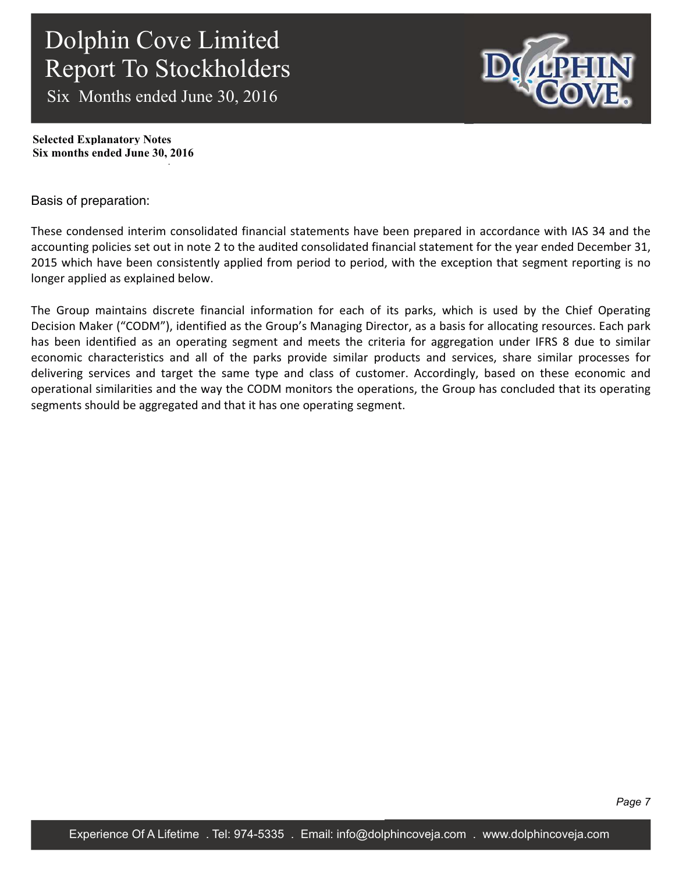Six Months ended June 30, 2016

. **Selected Explanatory Notes Six months ended June 30, 2016**

Basis of preparation:

These condensed interim consolidated financial statements have been prepared in accordance with IAS 34 and the accounting policies set out in note 2 to the audited consolidated financial statement for the year ended December 31, 2015 which have been consistently applied from period to period, with the exception that segment reporting is no longer applied as explained below.

The Group maintains discrete financial information for each of its parks, which is used by the Chief Operating Decision Maker ("CODM"), identified as the Group's Managing Director, as a basis for allocating resources. Each park has been identified as an operating segment and meets the criteria for aggregation under IFRS 8 due to similar economic characteristics and all of the parks provide similar products and services, share similar processes for delivering services and target the same type and class of customer. Accordingly, based on these economic and operational similarities and the way the CODM monitors the operations, the Group has concluded that its operating segments should be aggregated and that it has one operating segment.